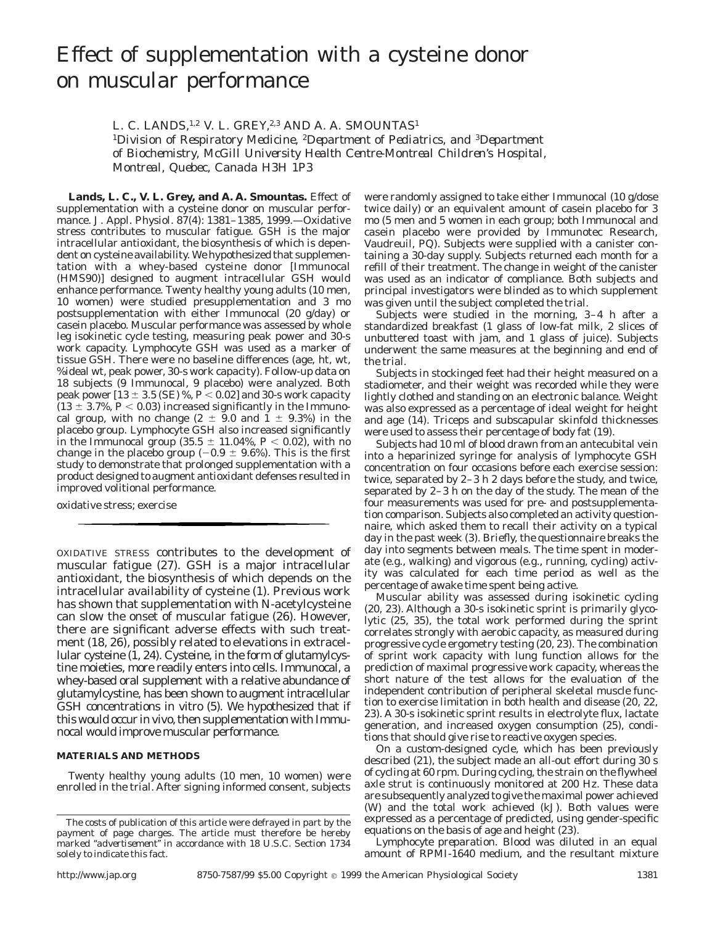# Effect of supplementation with a cysteine donor on muscular performance

L. C. LANDS,<sup>1,2</sup> V. L. GREY,<sup>2,3</sup> AND A. A. SMOUNTAS<sup>1</sup>

<sup>1</sup>*Division of Respiratory Medicine,* <sup>2</sup>*Department of Pediatrics, and* <sup>3</sup>*Department of Biochemistry, McGill University Health Centre-Montreal Children's Hospital, Montreal, Quebec, Canada H3H 1P3*

**Lands, L. C., V. L. Grey, and A. A. Smountas.** Effect of supplementation with a cysteine donor on muscular performance. *J. Appl. Physiol.* 87(4): 1381–1385, 1999.—Oxidative stress contributes to muscular fatigue. GSH is the major intracellular antioxidant, the biosynthesis of which is dependent on cysteine availability. We hypothesized that supplementation with a whey-based cysteine donor [Immunocal (HMS90)] designed to augment intracellular GSH would enhance performance. Twenty healthy young adults (10 men, 10 women) were studied presupplementation and 3 mo postsupplementation with either Immunocal (20 g/day) or casein placebo. Muscular performance was assessed by whole leg isokinetic cycle testing, measuring peak power and 30-s work capacity. Lymphocyte GSH was used as a marker of tissue GSH. There were no baseline differences (age, ht, wt, %ideal wt, peak power, 30-s work capacity). Follow-up data on 18 subjects (9 Immunocal, 9 placebo) were analyzed. Both peak power [13  $\pm$  3.5 (SE) %,  $\overline{P}$  < 0.02] and 30-s work capacity  $(13 \pm 3.7\%, P < 0.03)$  increased significantly in the Immunocal group, with no change (2  $\pm$  9.0 and 1  $\pm$  9.3%) in the placebo group. Lymphocyte GSH also increased significantly in the Immunocal group  $(35.5 \pm 11.04\%, P < 0.02)$ , with no change in the placebo group ( $-0.9 \pm 9.6$ %). This is the first study to demonstrate that prolonged supplementation with a product designed to augment antioxidant defenses resulted in improved volitional performance.

oxidative stress; exercise

OXIDATIVE STRESS contributes to the development of muscular fatigue (27). GSH is a major intracellular antioxidant, the biosynthesis of which depends on the intracellular availability of cysteine (1). Previous work has shown that supplementation with *N*-acetylcysteine can slow the onset of muscular fatigue (26). However, there are significant adverse effects with such treatment (18, 26), possibly related to elevations in extracellular cysteine (1, 24). Cysteine, in the form of glutamylcystine moieties, more readily enters into cells. Immunocal, a whey-based oral supplement with a relative abundance of glutamylcystine, has been shown to augment intracellular GSH concentrations in vitro (5). We hypothesized that if this would occur in vivo, then supplementation with Immunocal would improve muscular performance.

## **MATERIALS AND METHODS**

Twenty healthy young adults (10 men, 10 women) were enrolled in the trial. After signing informed consent, subjects were randomly assigned to take either Immunocal (10 g/dose twice daily) or an equivalent amount of casein placebo for 3 mo (5 men and 5 women in each group; both Immunocal and casein placebo were provided by Immunotec Research, Vaudreuil, PQ). Subjects were supplied with a canister containing a 30-day supply. Subjects returned each month for a refill of their treatment. The change in weight of the canister was used as an indicator of compliance. Both subjects and principal investigators were blinded as to which supplement was given until the subject completed the trial.

Subjects were studied in the morning, 3–4 h after a standardized breakfast (1 glass of low-fat milk, 2 slices of unbuttered toast with jam, and 1 glass of juice). Subjects underwent the same measures at the beginning and end of the trial.

Subjects in stockinged feet had their height measured on a stadiometer, and their weight was recorded while they were lightly clothed and standing on an electronic balance. Weight was also expressed as a percentage of ideal weight for height and age (14). Triceps and subscapular skinfold thicknesses were used to assess their percentage of body fat (19).

Subjects had 10 ml of blood drawn from an antecubital vein into a heparinized syringe for analysis of lymphocyte GSH concentration on four occasions before each exercise session: twice, separated by 2–3 h 2 days before the study, and twice, separated by 2–3 h on the day of the study. The mean of the four measurements was used for pre- and postsupplementation comparison. Subjects also completed an activity questionnaire, which asked them to recall their activity on a typical day in the past week (3). Briefly, the questionnaire breaks the day into segments between meals. The time spent in moderate (e.g., walking) and vigorous (e.g., running, cycling) activity was calculated for each time period as well as the percentage of awake time spent being active.

Muscular ability was assessed during isokinetic cycling (20, 23). Although a 30-s isokinetic sprint is primarily glycolytic (25, 35), the total work performed during the sprint correlates strongly with aerobic capacity, as measured during progressive cycle ergometry testing (20, 23). The combination of sprint work capacity with lung function allows for the prediction of maximal progressive work capacity, whereas the short nature of the test allows for the evaluation of the independent contribution of peripheral skeletal muscle function to exercise limitation in both health and disease (20, 22, 23). A 30-s isokinetic sprint results in electrolyte flux, lactate generation, and increased oxygen consumption (25), conditions that should give rise to reactive oxygen species.

On a custom-designed cycle, which has been previously described (21), the subject made an all-out effort during 30 s of cycling at 60 rpm. During cycling, the strain on the flywheel axle strut is continuously monitored at 200 Hz. These data are subsequently analyzed to give the maximal power achieved (W) and the total work achieved (kJ). Both values were expressed as a percentage of predicted, using gender-specific equations on the basis of age and height (23).

*Lymphocyte preparation.* Blood was diluted in an equal amount of RPMI-1640 medium, and the resultant mixture

The costs of publication of this article were defrayed in part by the payment of page charges. The article must therefore be hereby marked ''*advertisement*'' in accordance with 18 U.S.C. Section 1734 solely to indicate this fact.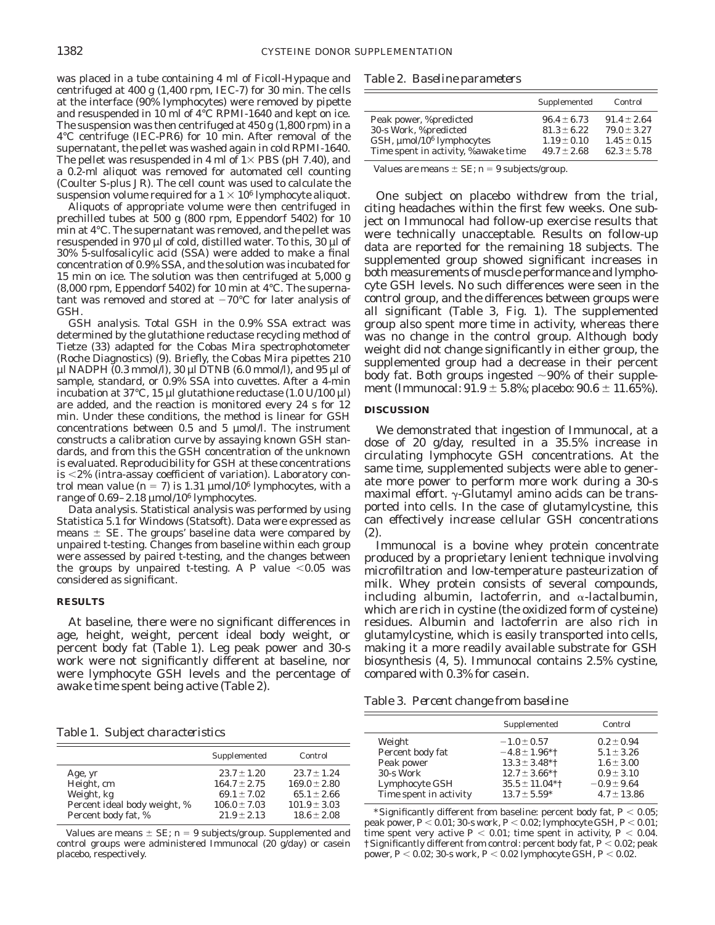was placed in a tube containing 4 ml of Ficoll-Hypaque and centrifuged at 400 *g* (1,400 rpm, IEC-7) for 30 min. The cells at the interface (90% lymphocytes) were removed by pipette and resuspended in 10 ml of 4°C RPMI-1640 and kept on ice. The suspension was then centrifuged at  $450 g(1,800$  rpm) in a 4°C centrifuge (IEC-PR6) for 10 min. After removal of the supernatant, the pellet was washed again in cold RPMI-1640. The pellet was resuspended in 4 ml of  $1\times$  PBS (pH 7.40), and a 0.2-ml aliquot was removed for automated cell counting (Coulter S-plus JR). The cell count was used to calculate the suspension volume required for a  $1 \times 10^6$  lymphocyte aliquot.

Aliquots of appropriate volume were then centrifuged in prechilled tubes at 500  $g$  (800 rpm, Eppendorf 5402) for 10 min at 4°C. The supernatant was removed, and the pellet was resuspended in 970 µl of cold, distilled water. To this, 30 µl of 30% 5-sulfosalicylic acid (SSA) were added to make a final concentration of 0.9% SSA, and the solution was incubated for 15 min on ice. The solution was then centrifuged at 5,000 *g* (8,000 rpm, Eppendorf 5402) for 10 min at 4°C. The supernatant was removed and stored at  $-70^{\circ}$ C for later analysis of GSH.

*GSH analysis.* Total GSH in the 0.9% SSA extract was determined by the glutathione reductase recycling method of Tietze (33) adapted for the Cobas Mira spectrophotometer (Roche Diagnostics) (9). Briefly, the Cobas Mira pipettes 210  $\mu$ l NADPH (0.3 mmol/l), 30  $\mu$ l DTNB (6.0 mmol/l), and 95  $\mu$ l of sample, standard, or 0.9% SSA into cuvettes. After a 4-min incubation at 37°C, 15 µl glutathione reductase (1.0 U/100 µl) are added, and the reaction is monitored every 24 s for 12 min. Under these conditions, the method is linear for GSH concentrations between 0.5 and 5 µmol/l. The instrument constructs a calibration curve by assaying known GSH standards, and from this the GSH concentration of the unknown is evaluated. Reproducibility for GSH at these concentrations  $is < 2\%$  (intra-assay coefficient of variation). Laboratory control mean value ( $n = 7$ ) is 1.31  $\mu$ mol/10<sup>6</sup> lymphocytes, with a range of 0.69–2.18 µmol/106 lymphocytes.

*Data analysis.* Statistical analysis was performed by using Statistica 5.1 for Windows (Statsoft). Data were expressed as means  $\pm$  SE. The groups' baseline data were compared by unpaired *t*-testing. Changes from baseline within each group were assessed by paired *t*-testing, and the changes between the groups by unpaired *t*-testing. A *P* value  $\leq 0.05$  was considered as significant.

### **RESULTS**

At baseline, there were no significant differences in age, height, weight, percent ideal body weight, or percent body fat (Table 1). Leg peak power and 30-s work were not significantly different at baseline, nor were lymphocyte GSH levels and the percentage of awake time spent being active (Table 2).

Table 1. *Subject characteristics*

|                              | Supplemented     | Control          |
|------------------------------|------------------|------------------|
| Age, yr                      | $23.7 \pm 1.20$  | $23.7 \pm 1.24$  |
| Height, cm                   | $164.7 \pm 2.75$ | $169.0 \pm 2.80$ |
| Weight, kg                   | $69.1 \pm 7.02$  | $65.1 \pm 2.66$  |
| Percent ideal body weight, % | $106.0 \pm 7.03$ | $101.9 \pm 3.03$ |
| Percent body fat, %          | $21.9 \pm 2.13$  | $18.6 \pm 2.08$  |

Values are means  $\pm$  SE;  $n = 9$  subjects/group. Supplemented and control groups were administered Immunocal (20 g/day) or casein placebo, respectively.

Table 2. *Baseline parameters*

|                                       | Supplemented    | Control         |
|---------------------------------------|-----------------|-----------------|
| Peak power, %predicted                | $96.4 \pm 6.73$ | $91.4 \pm 2.64$ |
| 30-s Work, %predicted                 | $81.3 \pm 6.22$ | $79.0 \pm 3.27$ |
| GSH, µmol/10 <sup>6</sup> lymphocytes | $1.19 \pm 0.10$ | $1.45 \pm 0.15$ |
| Time spent in activity, %awake time   | $49.7 \pm 2.68$ | $62.3 \pm 5.78$ |

Values are means  $\pm$  SE; *n* = 9 subjects/group.

One subject on placebo withdrew from the trial, citing headaches within the first few weeks. One subject on Immunocal had follow-up exercise results that were technically unacceptable. Results on follow-up data are reported for the remaining 18 subjects. The supplemented group showed significant increases in both measurements of muscle performance and lymphocyte GSH levels. No such differences were seen in the control group, and the differences between groups were all significant (Table 3, Fig. 1). The supplemented group also spent more time in activity, whereas there was no change in the control group. Although body weight did not change significantly in either group, the supplemented group had a decrease in their percent body fat. Both groups ingested  $\sim 90\%$  of their supplement (Immunocal:  $91.9 \pm 5.8$ %; placebo:  $90.6 \pm 11.65$ %).

# **DISCUSSION**

We demonstrated that ingestion of Immunocal, at a dose of 20 g/day, resulted in a 35.5% increase in circulating lymphocyte GSH concentrations. At the same time, supplemented subjects were able to generate more power to perform more work during a 30-s maximal effort.  $\gamma$ -Glutamyl amino acids can be transported into cells. In the case of glutamylcystine, this can effectively increase cellular GSH concentrations (2).

Immunocal is a bovine whey protein concentrate produced by a proprietary lenient technique involving microfiltration and low-temperature pasteurization of milk. Whey protein consists of several compounds, including albumin, lactoferrin, and  $\alpha$ -lactalbumin, which are rich in cystine (the oxidized form of cysteine) residues. Albumin and lactoferrin are also rich in glutamylcystine, which is easily transported into cells, making it a more readily available substrate for GSH biosynthesis (4, 5). Immunocal contains 2.5% cystine, compared with 0.3% for casein.

Table 3. *Percent change from baseline*

|                        | Supplemented        | Control         |
|------------------------|---------------------|-----------------|
| Weight                 | $-1.0 \pm 0.57$     | $0.2 \pm 0.94$  |
| Percent body fat       | $-4.8 \pm 1.96$ *†  | $5.1 \pm 3.26$  |
| Peak power             | $13.3 \pm 3.48$ *1  | $1.6 \pm 3.00$  |
| 30-s Work              | $12.7 \pm 3.66$ *†  | $0.9 \pm 3.10$  |
| Lymphocyte GSH         | $35.5 \pm 11.04$ *† | $-0.9 \pm 9.64$ |
| Time spent in activity | $13.7 \pm 5.59*$    | $4.7 \pm 13.86$ |

\* Significantly different from baseline: percent body fat,  $P < 0.05$ ; peak power,  $P < 0.01$ ; 30-s work,  $P < 0.02$ ; lymphocyte GSH,  $P < 0.01$ ; time spent very active  $P < 0.01$ ; time spent in activity,  $P < 0.04$ .  $\dagger$ Significantly different from control: percent body fat,  $P < 0.02$ ; peak power,  $P < 0.02$ ; 30-s work,  $P < 0.02$  lymphocyte GSH,  $P < 0.02$ .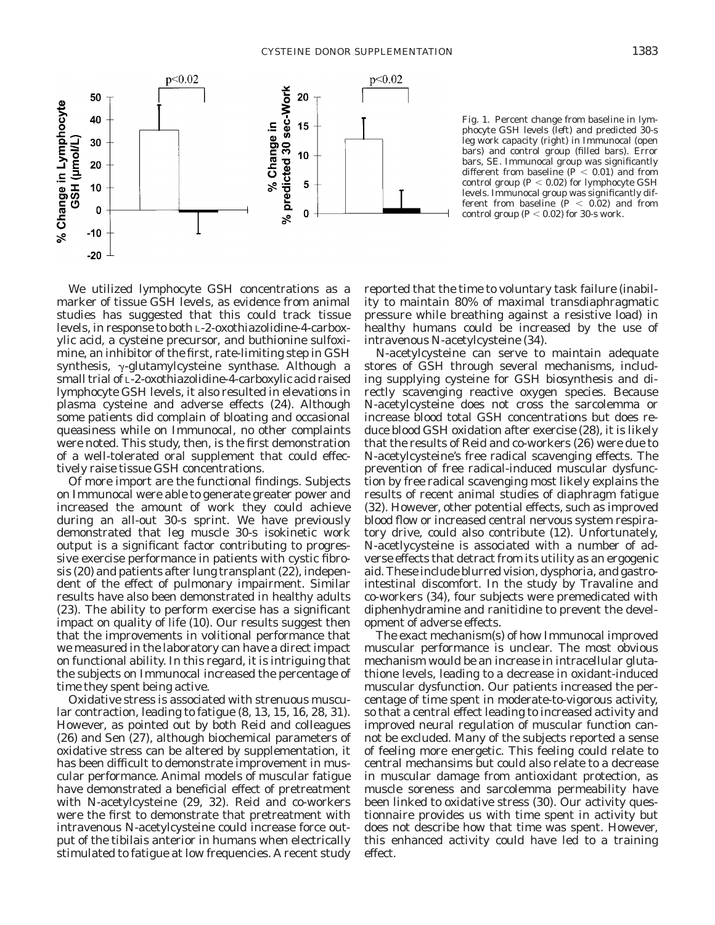

Fig. 1. Percent change from baseline in lymphocyte GSH levels (*left*) and predicted 30-s leg work capacity (*right*) in Immunocal (open bars) and control group (filled bars). Error bars, SE. Immunocal group was significantly different from baseline  $(\overrightarrow{P} < 0.01)$  and from control group  $(P < 0.02)$  for lymphocyte GSH levels. Immunocal group was significantly different from baseline  $(P < 0.02)$  and from control group  $(P < 0.02)$  for 30-s work.

We utilized lymphocyte GSH concentrations as a marker of tissue GSH levels, as evidence from animal studies has suggested that this could track tissue levels, in response to both L-2-oxothiazolidine-4-carboxylic acid, a cysteine precursor, and buthionine sulfoximine, an inhibitor of the first, rate-limiting step in GSH synthesis,  $\gamma$ -glutamylcysteine synthase. Although a small trial of L-2-oxothiazolidine-4-carboxylic acid raised lymphocyte GSH levels, it also resulted in elevations in plasma cysteine and adverse effects (24). Although some patients did complain of bloating and occasional queasiness while on Immunocal, no other complaints were noted. This study, then, is the first demonstration of a well-tolerated oral supplement that could effectively raise tissue GSH concentrations.

Of more import are the functional findings. Subjects on Immunocal were able to generate greater power and increased the amount of work they could achieve during an all-out 30-s sprint. We have previously demonstrated that leg muscle 30-s isokinetic work output is a significant factor contributing to progressive exercise performance in patients with cystic fibrosis (20) and patients after lung transplant (22), independent of the effect of pulmonary impairment. Similar results have also been demonstrated in healthy adults (23). The ability to perform exercise has a significant impact on quality of life (10). Our results suggest then that the improvements in volitional performance that we measured in the laboratory can have a direct impact on functional ability. In this regard, it is intriguing that the subjects on Immunocal increased the percentage of time they spent being active.

Oxidative stress is associated with strenuous muscular contraction, leading to fatigue (8, 13, 15, 16, 28, 31). However, as pointed out by both Reid and colleagues (26) and Sen (27), although biochemical parameters of oxidative stress can be altered by supplementation, it has been difficult to demonstrate improvement in muscular performance. Animal models of muscular fatigue have demonstrated a beneficial effect of pretreatment with *N*-acetylcysteine (29, 32). Reid and co-workers were the first to demonstrate that pretreatment with intravenous *N*-acetylcysteine could increase force output of the tibilais anterior in humans when electrically stimulated to fatigue at low frequencies. A recent study reported that the time to voluntary task failure (inability to maintain 80% of maximal transdiaphragmatic pressure while breathing against a resistive load) in healthy humans could be increased by the use of intravenous *N*-acetylcysteine (34).

*N*-acetylcysteine can serve to maintain adequate stores of GSH through several mechanisms, including supplying cysteine for GSH biosynthesis and directly scavenging reactive oxygen species. Because *N*-acetylcysteine does not cross the sarcolemma or increase blood total GSH concentrations but does reduce blood GSH oxidation after exercise (28), it is likely that the results of Reid and co-workers (26) were due to *N*-acetylcysteine's free radical scavenging effects. The prevention of free radical-induced muscular dysfunction by free radical scavenging most likely explains the results of recent animal studies of diaphragm fatigue (32). However, other potential effects, such as improved blood flow or increased central nervous system respiratory drive, could also contribute (12). Unfortunately, *N*-acetlycysteine is associated with a number of adverse effects that detract from its utility as an ergogenic aid. These include blurred vision, dysphoria, and gastrointestinal discomfort. In the study by Travaline and co-workers (34), four subjects were premedicated with diphenhydramine and ranitidine to prevent the development of adverse effects.

The exact mechanism(s) of how Immunocal improved muscular performance is unclear. The most obvious mechanism would be an increase in intracellular glutathione levels, leading to a decrease in oxidant-induced muscular dysfunction. Our patients increased the percentage of time spent in moderate-to-vigorous activity, so that a central effect leading to increased activity and improved neural regulation of muscular function cannot be excluded. Many of the subjects reported a sense of feeling more energetic. This feeling could relate to central mechansims but could also relate to a decrease in muscular damage from antioxidant protection, as muscle soreness and sarcolemma permeability have been linked to oxidative stress (30). Our activity questionnaire provides us with time spent in activity but does not describe how that time was spent. However, this enhanced activity could have led to a training effect.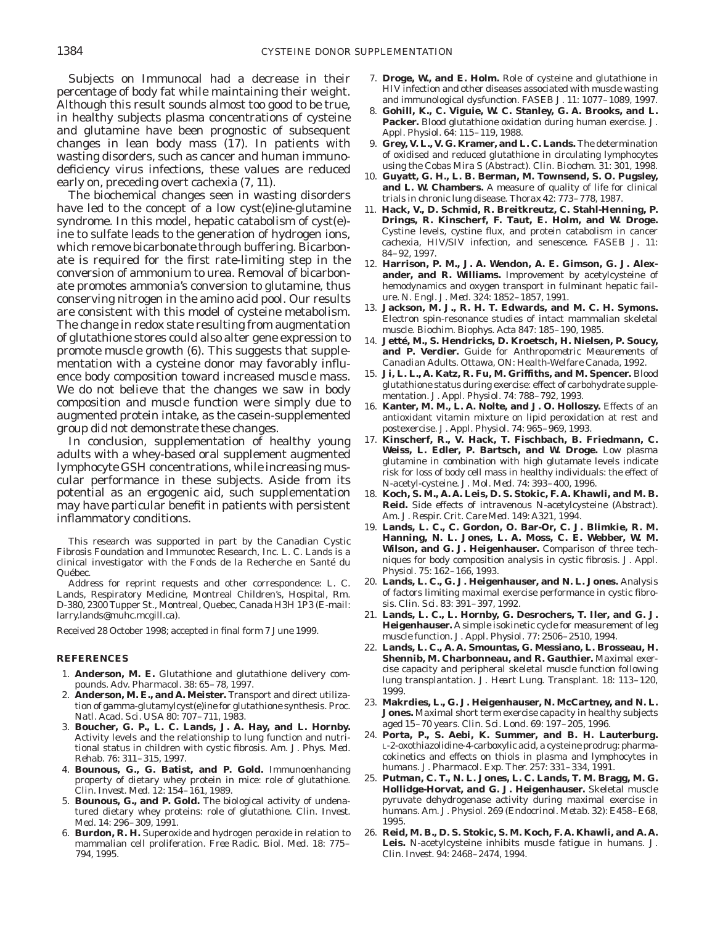Subjects on Immunocal had a decrease in their percentage of body fat while maintaining their weight. Although this result sounds almost too good to be true, in healthy subjects plasma concentrations of cysteine and glutamine have been prognostic of subsequent changes in lean body mass (17). In patients with wasting disorders, such as cancer and human immunodeficiency virus infections, these values are reduced early on, preceding overt cachexia (7, 11).

The biochemical changes seen in wasting disorders have led to the concept of a low cyst(e)ine-glutamine syndrome. In this model, hepatic catabolism of cyst(e) ine to sulfate leads to the generation of hydrogen ions, which remove bicarbonate through buffering. Bicarbonate is required for the first rate-limiting step in the conversion of ammonium to urea. Removal of bicarbonate promotes ammonia's conversion to glutamine, thus conserving nitrogen in the amino acid pool. Our results are consistent with this model of cysteine metabolism. The change in redox state resulting from augmentation of glutathione stores could also alter gene expression to promote muscle growth (6). This suggests that supplementation with a cysteine donor may favorably influence body composition toward increased muscle mass. We do not believe that the changes we saw in body composition and muscle function were simply due to augmented protein intake, as the casein-supplemented group did not demonstrate these changes.

In conclusion, supplementation of healthy young adults with a whey-based oral supplement augmented lymphocyte GSH concentrations, while increasing muscular performance in these subjects. Aside from its potential as an ergogenic aid, such supplementation may have particular benefit in patients with persistent inflammatory conditions.

This research was supported in part by the Canadian Cystic Fibrosis Foundation and Immunotec Research, Inc. L. C. Lands is a clinical investigator with the Fonds de la Recherche en Santé du Québec.

Address for reprint requests and other correspondence: L. C. Lands, Respiratory Medicine, Montreal Children's, Hospital, Rm. D-380, 2300 Tupper St., Montreal, Quebec, Canada H3H 1P3 (E-mail: larry.lands@muhc.mcgill.ca).

Received 28 October 1998; accepted in final form 7 June 1999.

#### **REFERENCES**

- 1. **Anderson, M. E.** Glutathione and glutathione delivery compounds. *Adv. Pharmacol.* 38: 65–78, 1997.
- 2. **Anderson, M. E., and A. Meister.** Transport and direct utilization of gamma-glutamylcyst(e)ine for glutathione synthesis. *Proc. Natl. Acad. Sci. USA* 80: 707–711, 1983.
- 3. **Boucher, G. P., L. C. Lands, J. A. Hay, and L. Hornby.** Activity levels and the relationship to lung function and nutritional status in children with cystic fibrosis. *Am. J. Phys. Med. Rehab.* 76: 311–315, 1997.
- 4. **Bounous, G., G. Batist, and P. Gold.** Immunoenhancing property of dietary whey protein in mice: role of glutathione. *Clin. Invest. Med.* 12: 154–161, 1989.
- 5. **Bounous, G., and P. Gold.** The biological activity of undenatured dietary whey proteins: role of glutathione. *Clin. Invest. Med.* 14: 296–309, 1991.
- 6. **Burdon, R. H.** Superoxide and hydrogen peroxide in relation to mammalian cell proliferation. *Free Radic. Biol. Med.* 18: 775– 794, 1995.
- 7. **Droge, W., and E. Holm.** Role of cysteine and glutathione in HIV infection and other diseases associated with muscle wasting and immunological dysfunction. *FASEB J.* 11: 1077–1089, 1997.
- 8. **Gohill, K., C. Viguie, W. C. Stanley, G. A. Brooks, and L. Packer.** Blood glutathione oxidation during human exercise. *J. Appl. Physiol.* 64: 115–119, 1988.
- 9. **Grey, V. L., V. G. Kramer, and L. C. Lands.** The determination of oxidised and reduced glutathione in circulating lymphocytes using the Cobas Mira S (Abstract). *Clin. Biochem.* 31: 301, 1998.
- 10. **Guyatt, G. H., L. B. Berman, M. Townsend, S. O. Pugsley, and L. W. Chambers.** A measure of quality of life for clinical trials in chronic lung disease. *Thorax* 42: 773–778, 1987.
- 11. **Hack, V., D. Schmid, R. Breitkreutz, C. Stahl-Henning, P. Drings, R. Kinscherf, F. Taut, E. Holm, and W. Droge.** Cystine levels, cystine flux, and protein catabolism in cancer cachexia, HIV/SIV infection, and senescence. *FASEB J.* 11: 84–92, 1997.
- 12. **Harrison, P. M., J. A. Wendon, A. E. Gimson, G. J. Alexander, and R. Williams.** Improvement by acetylcysteine of hemodynamics and oxygen transport in fulminant hepatic failure. *N. Engl. J. Med.* 324: 1852–1857, 1991.
- 13. **Jackson, M. J., R. H. T. Edwards, and M. C. H. Symons.** Electron spin-resonance studies of intact mammalian skeletal muscle. *Biochim. Biophys. Acta* 847: 185–190, 1985.
- 14. **Jette´, M., S. Hendricks, D. Kroetsch, H. Nielsen, P. Soucy, and P. Verdier.** *Guide for Anthropometric Meaurements of Canadian Adults.* Ottawa, ON: Health-Welfare Canada, 1992.
- 15. **Ji, L. L., A. Katz, R. Fu, M. Griffiths, and M. Spencer.** Blood glutathione status during exercise: effect of carbohydrate supplementation. *J. Appl. Physiol.* 74: 788–792, 1993.
- 16. **Kanter, M. M., L. A. Nolte, and J. O. Holloszy.** Effects of an antioxidant vitamin mixture on lipid peroxidation at rest and postexercise. *J. Appl. Physiol.* 74: 965–969, 1993.
- 17. **Kinscherf, R., V. Hack, T. Fischbach, B. Friedmann, C. Weiss, L. Edler, P. Bartsch, and W. Droge.** Low plasma glutamine in combination with high glutamate levels indicate risk for loss of body cell mass in healthy individuals: the effect of *N*-acetyl-cysteine. *J. Mol. Med.* 74: 393–400, 1996.
- 18. **Koch, S. M., A. A. Leis, D. S. Stokic, F. A. Khawli, and M. B. Reid.** Side effects of intravenous *N*-acetylcysteine (Abstract). *Am. J. Respir. Crit. Care Med.* 149: A321, 1994.
- 19. **Lands, L. C., C. Gordon, O. Bar-Or, C. J. Blimkie, R. M. Hanning, N. L. Jones, L. A. Moss, C. E. Webber, W. M. Wilson, and G. J. Heigenhauser.** Comparison of three techniques for body composition analysis in cystic fibrosis. *J. Appl. Physiol.* 75: 162–166, 1993.
- 20. **Lands, L. C., G. J. Heigenhauser, and N. L. Jones.** Analysis of factors limiting maximal exercise performance in cystic fibrosis. *Clin. Sci.* 83: 391–397, 1992.
- 21. **Lands, L. C., L. Hornby, G. Desrochers, T. Iler, and G. J. Heigenhauser.** A simple isokinetic cycle for measurement of leg muscle function. *J. Appl. Physiol.* 77: 2506–2510, 1994.
- 22. **Lands, L. C., A. A. Smountas, G. Messiano, L. Brosseau, H. Shennib, M. Charbonneau, and R. Gauthier.** Maximal exercise capacity and peripheral skeletal muscle function following lung transplantation. *J. Heart Lung. Transplant.* 18: 113–120, 1999.
- 23. **Makrdies, L., G. J. Heigenhauser, N. McCartney, and N. L. Jones.** Maximal short term exercise capacity in healthy subjects aged 15–70 years. *Clin. Sci. Lond.* 69: 197–205, 1996.
- 24. **Porta, P., S. Aebi, K. Summer, and B. H. Lauterburg.** L-2-oxothiazolidine-4-carboxylic acid, a cysteine prodrug: pharmacokinetics and effects on thiols in plasma and lymphocytes in humans. *J. Pharmacol. Exp. Ther.* 257: 331–334, 1991.
- 25. **Putman, C. T., N. L. Jones, L. C. Lands, T. M. Bragg, M. G. Hollidge-Horvat, and G. J. Heigenhauser.** Skeletal muscle pyruvate dehydrogenase activity during maximal exercise in humans. *Am. J. Physiol.* 269 (*Endocrinol. Metab.* 32): E458–E68, 1995.
- 26. **Reid, M. B., D. S. Stokic, S. M. Koch, F. A. Khawli, and A. A. Leis.** *N*-acetylcysteine inhibits muscle fatigue in humans. *J. Clin. Invest.* 94: 2468–2474, 1994.